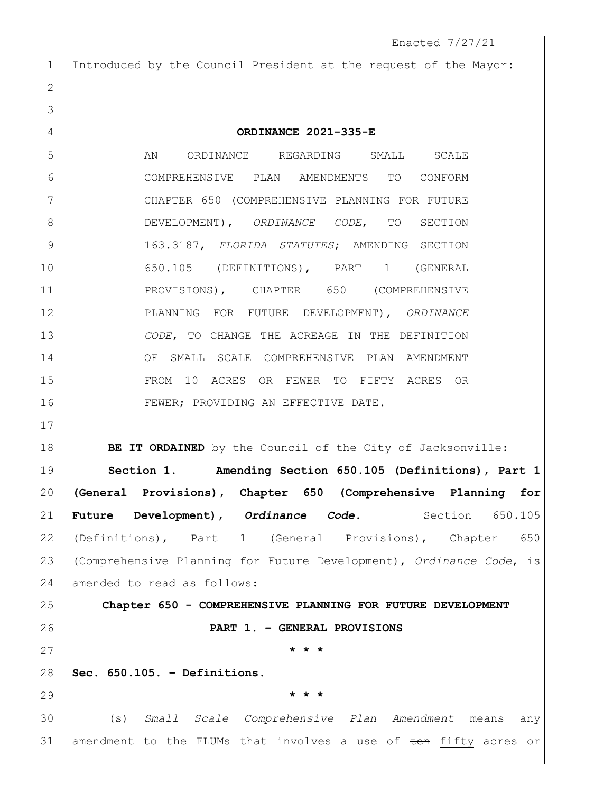Enacted 7/27/21 Introduced by the Council President at the request of the Mayor: **ORDINANCE 2021-335-E** 5 AN ORDINANCE REGARDING SMALL SCALE COMPREHENSIVE PLAN AMENDMENTS TO CONFORM 7 | CHAPTER 650 (COMPREHENSIVE PLANNING FOR FUTURE DEVELOPMENT), *ORDINANCE CODE*, TO SECTION 163.3187, *FLORIDA STATUTES*; AMENDING SECTION 650.105 (DEFINITIONS), PART 1 (GENERAL 11 PROVISIONS), CHAPTER 650 (COMPREHENSIVE PLANNING FOR FUTURE DEVELOPMENT), *ORDINANCE CODE*, TO CHANGE THE ACREAGE IN THE DEFINITION OF SMALL SCALE COMPREHENSIVE PLAN AMENDMENT FROM 10 ACRES OR FEWER TO FIFTY ACRES OR 16 FEWER; PROVIDING AN EFFECTIVE DATE. **BE IT ORDAINED** by the Council of the City of Jacksonville: **Section 1. Amending Section 650.105 (Definitions), Part 1 (General Provisions), Chapter 650 (Comprehensive Planning for Future Development), Ordinance Code.** Section 650.105 (Definitions), Part 1 (General Provisions), Chapter 650 (Comprehensive Planning for Future Development), *Ordinance Code*, is 24 amended to read as follows: **Chapter 650 - COMPREHENSIVE PLANNING FOR FUTURE DEVELOPMENT PART 1. – GENERAL PROVISIONS \* \* \* Sec. 650.105. – Definitions. \* \* \*** (s) *Small Scale Comprehensive Plan Amendment* means any 31 amendment to the FLUMs that involves a use of  $\frac{1}{2}$  ten fifty acres or